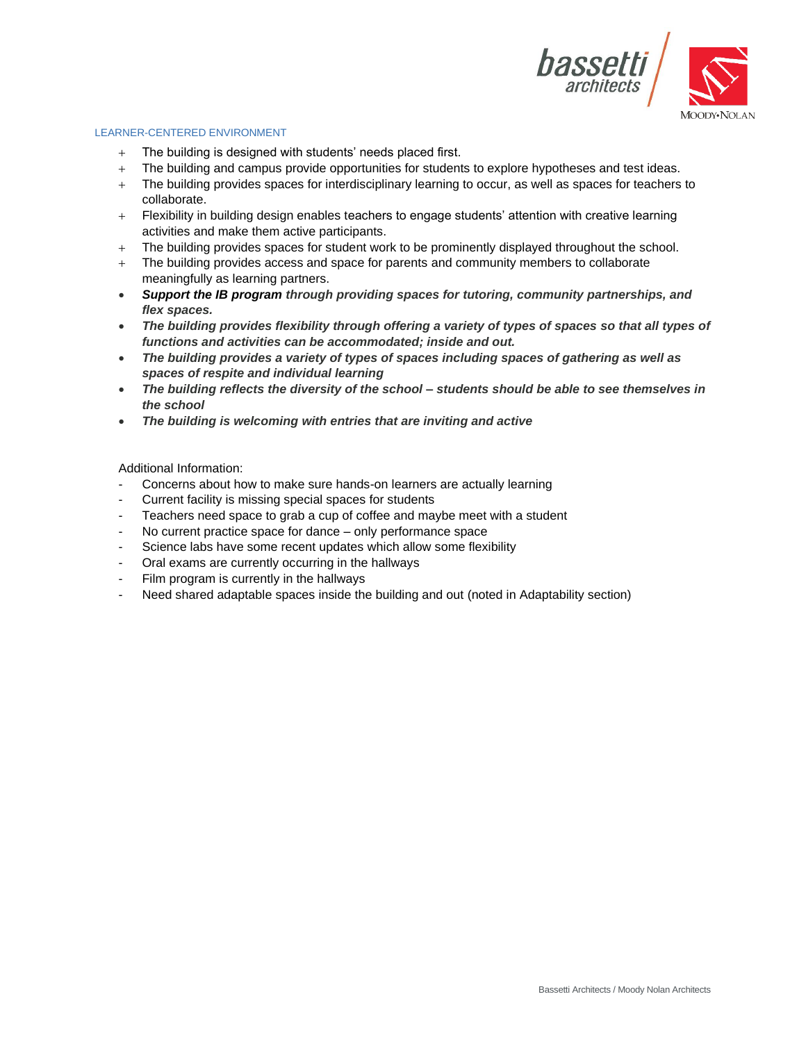

### LEARNER-CENTERED ENVIRONMENT

- $+$  The building is designed with students' needs placed first.
- + The building and campus provide opportunities for students to explore hypotheses and test ideas.
- + The building provides spaces for interdisciplinary learning to occur, as well as spaces for teachers to collaborate.
- + Flexibility in building design enables teachers to engage students' attention with creative learning activities and make them active participants.
- + The building provides spaces for student work to be prominently displayed throughout the school.
- + The building provides access and space for parents and community members to collaborate meaningfully as learning partners.
- *Support the IB program through providing spaces for tutoring, community partnerships, and flex spaces.*
- *The building provides flexibility through offering a variety of types of spaces so that all types of functions and activities can be accommodated; inside and out.*
- *The building provides a variety of types of spaces including spaces of gathering as well as spaces of respite and individual learning*
- *The building reflects the diversity of the school – students should be able to see themselves in the school*
- *The building is welcoming with entries that are inviting and active*

- Concerns about how to make sure hands-on learners are actually learning
- Current facility is missing special spaces for students
- Teachers need space to grab a cup of coffee and maybe meet with a student
- No current practice space for dance only performance space
- Science labs have some recent updates which allow some flexibility
- Oral exams are currently occurring in the hallways
- Film program is currently in the hallways
- Need shared adaptable spaces inside the building and out (noted in Adaptability section)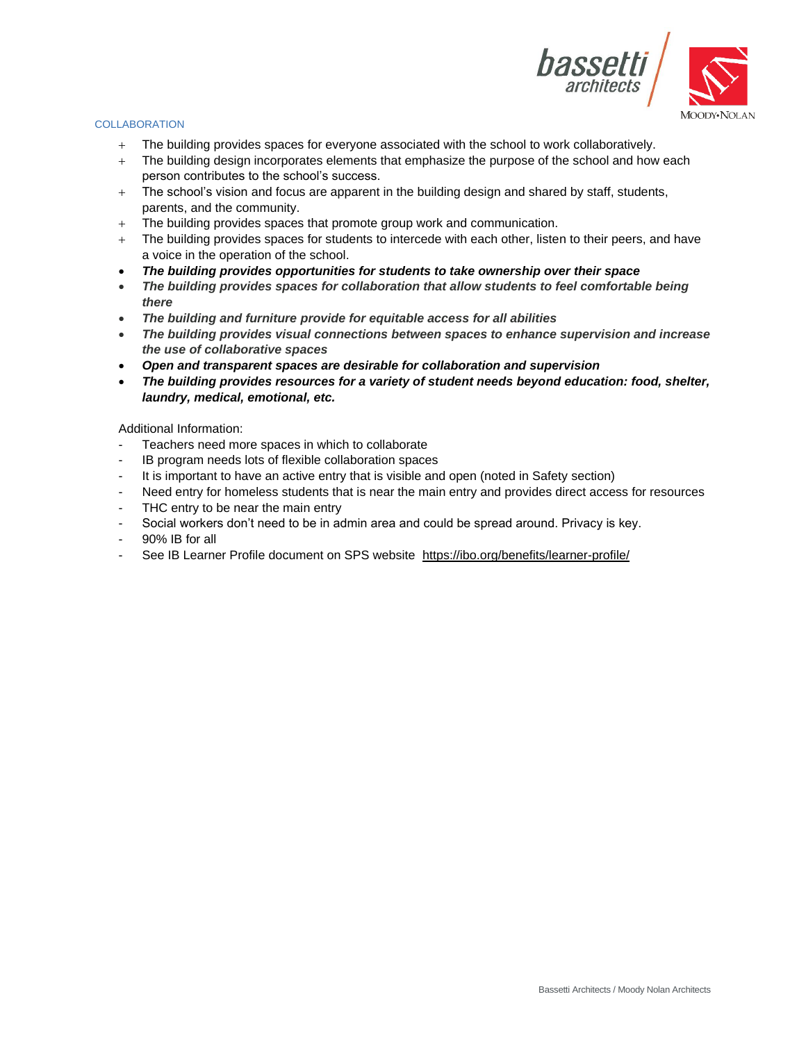

# **COLLABORATION**

- + The building provides spaces for everyone associated with the school to work collaboratively.
- + The building design incorporates elements that emphasize the purpose of the school and how each person contributes to the school's success.
- $+$  The school's vision and focus are apparent in the building design and shared by staff, students, parents, and the community.
- + The building provides spaces that promote group work and communication.
- + The building provides spaces for students to intercede with each other, listen to their peers, and have a voice in the operation of the school.
- *The building provides opportunities for students to take ownership over their space*
- *The building provides spaces for collaboration that allow students to feel comfortable being there*
- *The building and furniture provide for equitable access for all abilities*
- *The building provides visual connections between spaces to enhance supervision and increase the use of collaborative spaces*
- *Open and transparent spaces are desirable for collaboration and supervision*
- *The building provides resources for a variety of student needs beyond education: food, shelter, laundry, medical, emotional, etc.*

- Teachers need more spaces in which to collaborate
- IB program needs lots of flexible collaboration spaces
- It is important to have an active entry that is visible and open (noted in Safety section)
- Need entry for homeless students that is near the main entry and provides direct access for resources
- THC entry to be near the main entry
- Social workers don't need to be in admin area and could be spread around. Privacy is key.
- 90% IB for all
- See IB Learner Profile document on SPS website <https://ibo.org/benefits/learner-profile/>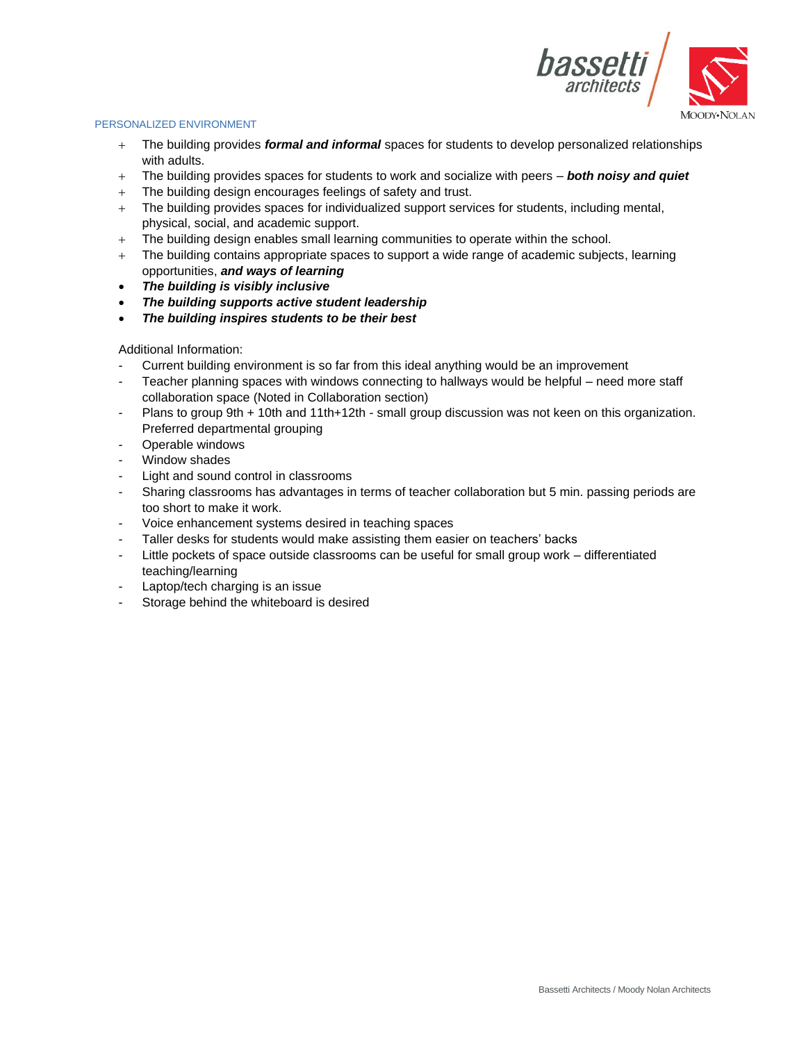

## PERSONALIZED ENVIRONMENT

- + The building provides *formal and informal* spaces for students to develop personalized relationships with adults.
- + The building provides spaces for students to work and socialize with peers *both noisy and quiet*
- + The building design encourages feelings of safety and trust.
- + The building provides spaces for individualized support services for students, including mental, physical, social, and academic support.
- + The building design enables small learning communities to operate within the school.
- + The building contains appropriate spaces to support a wide range of academic subjects, learning opportunities, *and ways of learning*
- *The building is visibly inclusive*
- *The building supports active student leadership*
- *The building inspires students to be their best*

- Current building environment is so far from this ideal anything would be an improvement
- Teacher planning spaces with windows connecting to hallways would be helpful need more staff collaboration space (Noted in Collaboration section)
- Plans to group 9th + 10th and 11th+12th small group discussion was not keen on this organization. Preferred departmental grouping
- Operable windows
- Window shades
- Light and sound control in classrooms
- Sharing classrooms has advantages in terms of teacher collaboration but 5 min. passing periods are too short to make it work.
- Voice enhancement systems desired in teaching spaces
- Taller desks for students would make assisting them easier on teachers' backs
- Little pockets of space outside classrooms can be useful for small group work differentiated teaching/learning
- Laptop/tech charging is an issue
- Storage behind the whiteboard is desired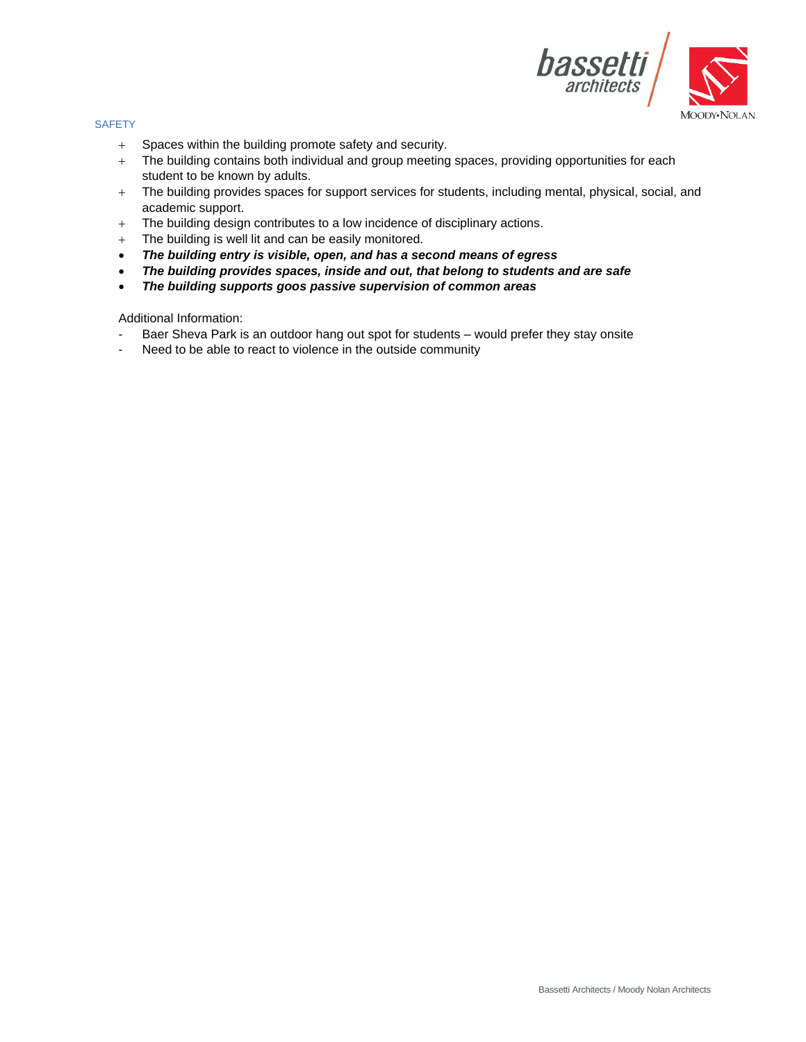

#### **SAFETY**

- + Spaces within the building promote safety and security.
- + The building contains both individual and group meeting spaces, providing opportunities for each student to be known by adults.
- + The building provides spaces for support services for students, including mental, physical, social, and academic support.
- + The building design contributes to a low incidence of disciplinary actions.
- + The building is well lit and can be easily monitored.
- *The building entry is visible, open, and has a second means of egress*
- *The building provides spaces, inside and out, that belong to students and are safe*
- *The building supports goos passive supervision of common areas*

- Baer Sheva Park is an outdoor hang out spot for students would prefer they stay onsite
- Need to be able to react to violence in the outside community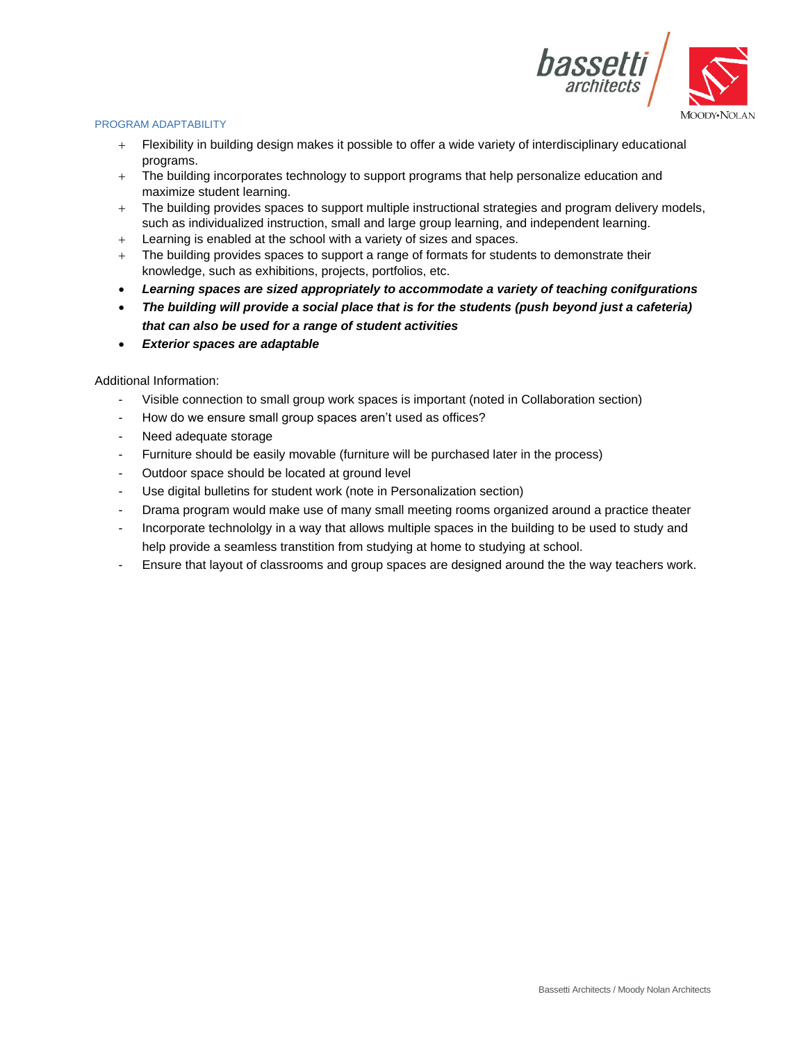

# PROGRAM ADAPTABILITY

- + Flexibility in building design makes it possible to offer a wide variety of interdisciplinary educational programs.
- + The building incorporates technology to support programs that help personalize education and maximize student learning.
- + The building provides spaces to support multiple instructional strategies and program delivery models, such as individualized instruction, small and large group learning, and independent learning.
- + Learning is enabled at the school with a variety of sizes and spaces.
- $+$  The building provides spaces to support a range of formats for students to demonstrate their knowledge, such as exhibitions, projects, portfolios, etc.
- *Learning spaces are sized appropriately to accommodate a variety of teaching conifgurations*
- *The building will provide a social place that is for the students (push beyond just a cafeteria) that can also be used for a range of student activities*
- *Exterior spaces are adaptable*

- Visible connection to small group work spaces is important (noted in Collaboration section)
- How do we ensure small group spaces aren't used as offices?
- Need adequate storage
- Furniture should be easily movable (furniture will be purchased later in the process)
- Outdoor space should be located at ground level
- Use digital bulletins for student work (note in Personalization section)
- Drama program would make use of many small meeting rooms organized around a practice theater
- Incorporate technololgy in a way that allows multiple spaces in the building to be used to study and help provide a seamless transtition from studying at home to studying at school.
- Ensure that layout of classrooms and group spaces are designed around the the way teachers work.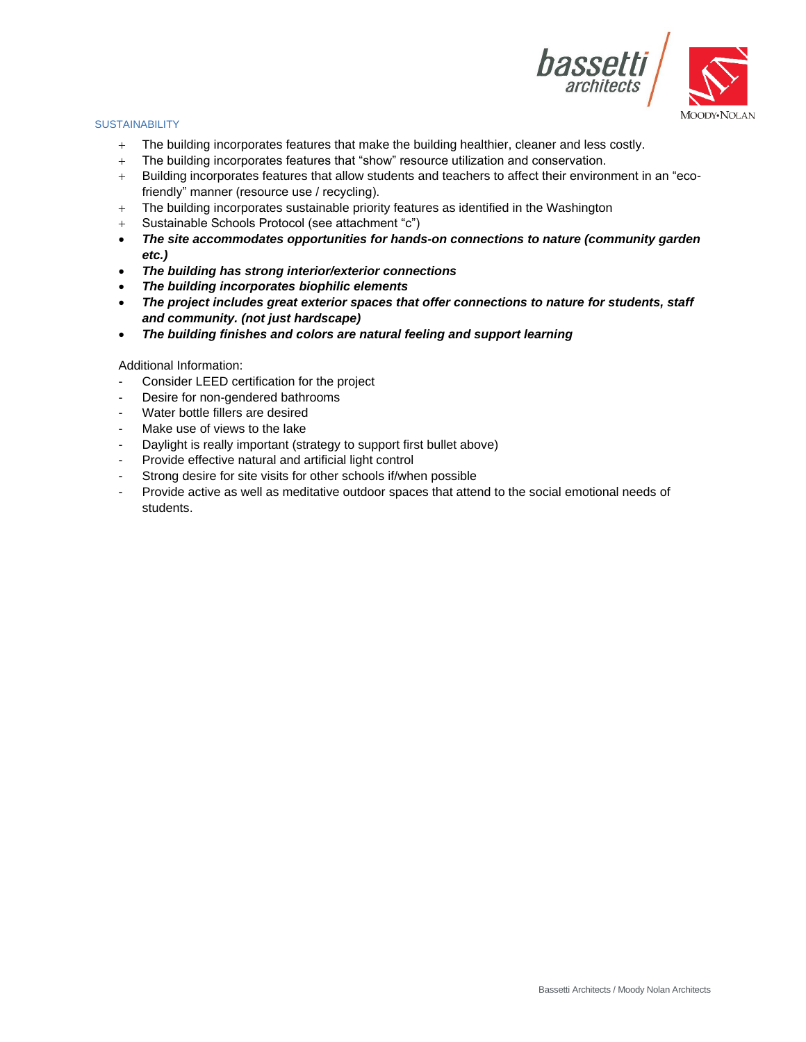

## **SUSTAINABILITY**

- + The building incorporates features that make the building healthier, cleaner and less costly.
- + The building incorporates features that "show" resource utilization and conservation.
- + Building incorporates features that allow students and teachers to affect their environment in an "ecofriendly" manner (resource use / recycling).
- + The building incorporates sustainable priority features as identified in the Washington
- + Sustainable Schools Protocol (see attachment "c")
- *The site accommodates opportunities for hands-on connections to nature (community garden etc.)*
- *The building has strong interior/exterior connections*
- *The building incorporates biophilic elements*
- *The project includes great exterior spaces that offer connections to nature for students, staff and community. (not just hardscape)*
- *The building finishes and colors are natural feeling and support learning*

- Consider LEED certification for the project
- Desire for non-gendered bathrooms
- Water bottle fillers are desired
- Make use of views to the lake
- Daylight is really important (strategy to support first bullet above)
- Provide effective natural and artificial light control
- Strong desire for site visits for other schools if/when possible
- Provide active as well as meditative outdoor spaces that attend to the social emotional needs of students.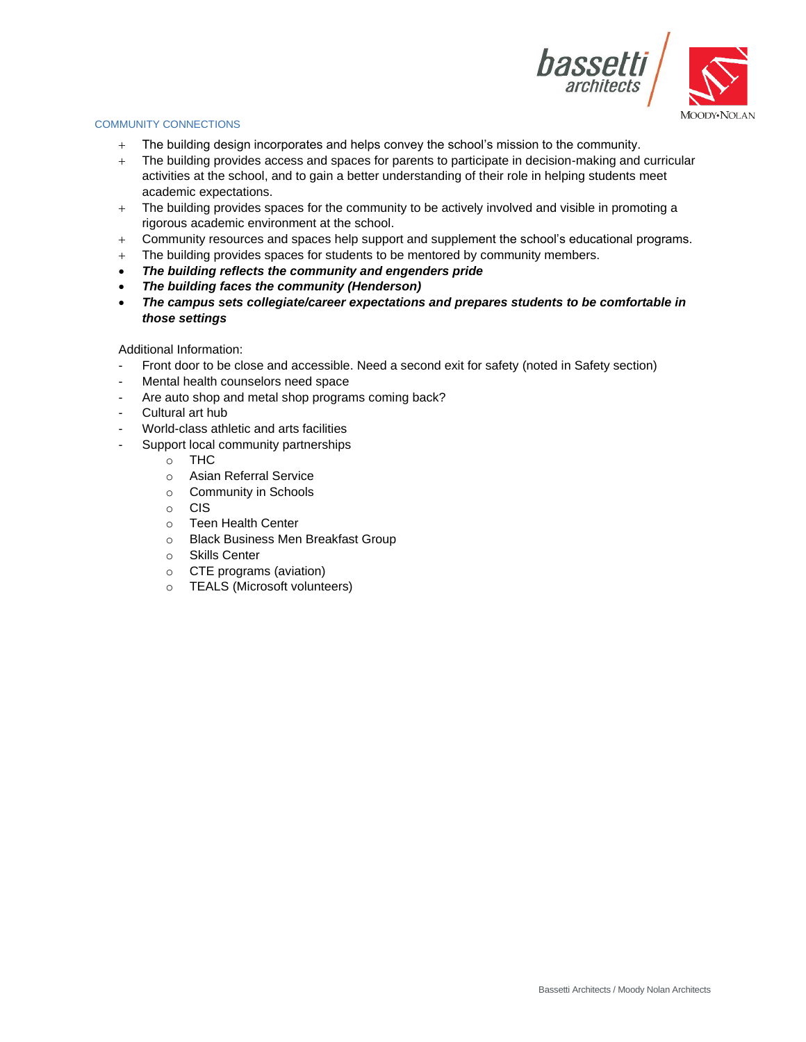

## COMMUNITY CONNECTIONS

- + The building design incorporates and helps convey the school's mission to the community.
- + The building provides access and spaces for parents to participate in decision-making and curricular activities at the school, and to gain a better understanding of their role in helping students meet academic expectations.
- + The building provides spaces for the community to be actively involved and visible in promoting a rigorous academic environment at the school.
- + Community resources and spaces help support and supplement the school's educational programs.
- + The building provides spaces for students to be mentored by community members.
- *The building reflects the community and engenders pride*
- *The building faces the community (Henderson)*
- *The campus sets collegiate/career expectations and prepares students to be comfortable in those settings*

- Front door to be close and accessible. Need a second exit for safety (noted in Safety section)
- Mental health counselors need space
- Are auto shop and metal shop programs coming back?
- Cultural art hub
- World-class athletic and arts facilities
- Support local community partnerships
	- o THC
	- o Asian Referral Service
	- o Community in Schools
	- o CIS
	- o Teen Health Center
	- o Black Business Men Breakfast Group
	- o Skills Center
	- o CTE programs (aviation)
	- o TEALS (Microsoft volunteers)